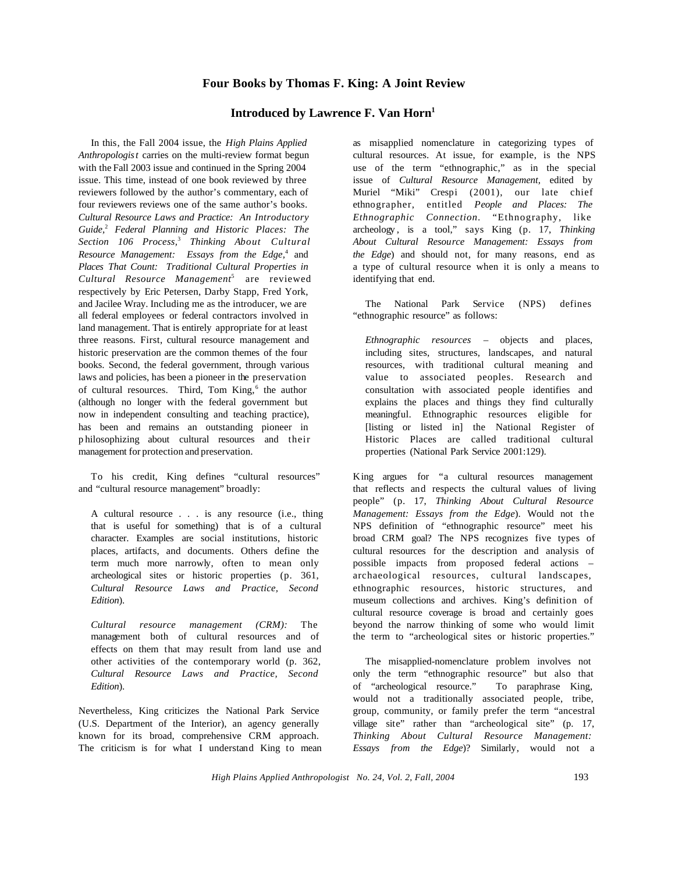## **Four Books by Thomas F. King: A Joint Review**

## **Introduced by Lawrence F. Van Horn<sup>1</sup>**

In this, the Fall 2004 issue, the *High Plains Applied Anthropologist* carries on the multi-review format begun with the Fall 2003 issue and continued in the Spring 2004 issue. This time, instead of one book reviewed by three reviewers followed by the author's commentary, each of four reviewers reviews one of the same author's books. *Cultural Resource Laws and Practice: An Introductory Guide,*<sup>2</sup> *Federal Planning and Historic Places: The Section 106 Process,*<sup>3</sup> *Thinking About Cultural Resource Management: Essays from the Edge,*<sup>4</sup> and *Places That Count: Traditional Cultural Properties in Cultural Resource Management*<sup>5</sup> are reviewed respectively by Eric Petersen, Darby Stapp, Fred York, and Jacilee Wray. Including me as the introducer, we are all federal employees or federal contractors involved in land management. That is entirely appropriate for at least three reasons. First, cultural resource management and historic preservation are the common themes of the four books. Second, the federal government, through various laws and policies, has been a pioneer in the preservation of cultural resources. Third, Tom King,<sup>6</sup> the author (although no longer with the federal government but now in independent consulting and teaching practice), has been and remains an outstanding pioneer in p hilosophizing about cultural resources and their management for protection and preservation.

To his credit, King defines "cultural resources" and "cultural resource management" broadly:

A cultural resource . . . is any resource (i.e., thing that is useful for something) that is of a cultural character. Examples are social institutions, historic places, artifacts, and documents. Others define the term much more narrowly, often to mean only archeological sites or historic properties (p. 361, *Cultural Resource Laws and Practice, Second Edition*).

*Cultural resource management (CRM):* The management both of cultural resources and of effects on them that may result from land use and other activities of the contemporary world (p. 362, *Cultural Resource Laws and Practice, Second Edition*).

Nevertheless, King criticizes the National Park Service (U.S. Department of the Interior), an agency generally known for its broad, comprehensive CRM approach. The criticism is for what I understand King to mean

as misapplied nomenclature in categorizing types of cultural resources. At issue, for example, is the NPS use of the term "ethnographic," as in the special issue of *Cultural Resource Management,* edited by Muriel "Miki" Crespi (2001), our late chief ethnographer, entitled *People and Places: The Ethnographic Connection*. "Ethnography, like archeology , is a tool," says King (p. 17, *Thinking About Cultural Resource Management: Essays from the Edge*) and should not, for many reasons, end as a type of cultural resource when it is only a means to identifying that end.

The National Park Service (NPS) defines "ethnographic resource" as follows:

*Ethnographic resources* – objects and places, including sites, structures, landscapes, and natural resources, with traditional cultural meaning and value to associated peoples. Research and consultation with associated people identifies and explains the places and things they find culturally meaningful. Ethnographic resources eligible for [listing or listed in] the National Register of Historic Places are called traditional cultural properties (National Park Service 2001:129).

King argues for "a cultural resources management that reflects and respects the cultural values of living people" (p. 17, *Thinking About Cultural Resource Management: Essays from the Edge*). Would not the NPS definition of "ethnographic resource" meet his broad CRM goal? The NPS recognizes five types of cultural resources for the description and analysis of possible impacts from proposed federal actions – archaeological resources, cultural landscapes, ethnographic resources, historic structures, and museum collections and archives. King's definition of cultural resource coverage is broad and certainly goes beyond the narrow thinking of some who would limit the term to "archeological sites or historic properties."

The misapplied-nomenclature problem involves not only the term "ethnographic resource" but also that of "archeological resource." To paraphrase King, would not a traditionally associated people, tribe, group, community, or family prefer the term "ancestral village site" rather than "archeological site" (p. 17, *Thinking About Cultural Resource Management: Essays from the Edge*)? Similarly, would not a